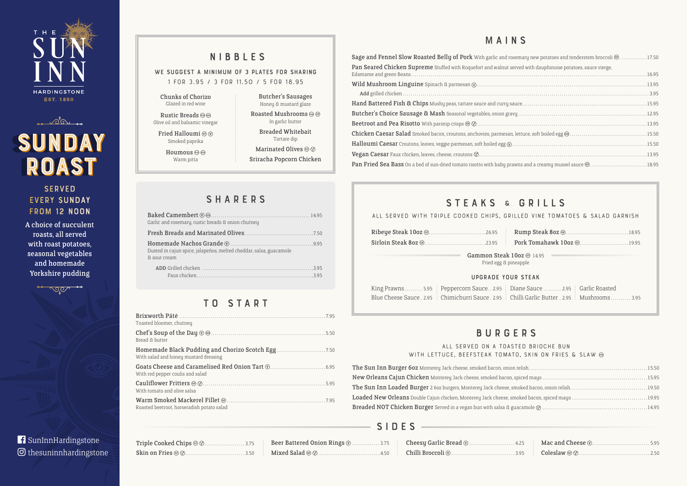| Triple Cooked Chips @ <b>@</b> 3.75 |  |
|-------------------------------------|--|
| <b>Skin on Fries</b> © ©3.50        |  |

Beer Battered Onion Rings  $\textcircled{1}$  ............. 3.75 Mixed Salad . . . . . . . . . . . . . . . . . . . . . . . . . . . . . . . . . 4.50

| Cheesy Garlic Bread $\circledcirc$ 4.25 |  |
|-----------------------------------------|--|
|                                         |  |

| nary new potatoes and tenderstem broccoli $@$ 17.50 |  |
|-----------------------------------------------------|--|
| ed with dauphinoise potatoes, sauce vierge,         |  |
|                                                     |  |
|                                                     |  |
|                                                     |  |
|                                                     |  |
|                                                     |  |
|                                                     |  |
|                                                     |  |
|                                                     |  |
|                                                     |  |
|                                                     |  |
|                                                     |  |

|  |  |  | ED VINE TOMATOES & SALAD GARNISH. |  |  |  |
|--|--|--|-----------------------------------|--|--|--|
|--|--|--|-----------------------------------|--|--|--|

## T O S T A R T

WE SUGGEST A MINIMUM OF 3 PLATES FOR SHARING **1 for 3.95 / 3 for 11.50 / 5 for 18.95**

| Toasted bloomer, chutney                   |  |
|--------------------------------------------|--|
| Bread & butter                             |  |
| With salad and honey mustard dressing      |  |
| With red pepper coulis and salad           |  |
| With tomato and olive salsa                |  |
| Roasted beetroot, horseradish potato salad |  |

## NIBBLES

## BURGERS

## **ALL SERVED ON A TOASTE** WITH LETTUCE, BEEFSTEAK TOMATO

The Sun Inn Burger 60z Monterey Jack cheese, smoked bacon, onion re New Orleans Cajun Chicken Monterey Jack cheese, smoked bacon, spi The Sun Inn Loaded Burger 2 6oz burgers, Monterey Jack cheese, smo Loaded New Orleans Double Cajun chicken, Monterey Jack cheese, smol Breaded NOT Chicken Burger Served in a vegan bun with salsa & gua

## **SERVED** every Sunday from 12 Noon

## MAINS





# sunday sunday ROAST

Rustic Breads  $\circledcirc$ Olive oil and balsamic vinegar

Fried Halloumi @  $\circledcirc$ Smoked paprika

> Houmous  $\circledcirc$ Warm pitta

> > **SHARERS**

**f** SunInnHardingstone thesuninnhardingstone

| Sage and Fennel Slow Roasted Belly of Pork With garlic and rosemary new potatoes and tenderstem broccoli @17.50 |        |
|-----------------------------------------------------------------------------------------------------------------|--------|
| Pan Seared Chicken Supreme Stuffed with Roquefort and walnut served with dauphinoise potatoes, sauce vierge,    |        |
|                                                                                                                 | .13.95 |
|                                                                                                                 |        |
|                                                                                                                 |        |
|                                                                                                                 |        |
|                                                                                                                 |        |
|                                                                                                                 | .15.50 |
|                                                                                                                 |        |
|                                                                                                                 | .13.95 |
|                                                                                                                 |        |

## STEAKS & GRILLS

## ALL SERVED WITH TRIPLE COOKED CHIPS, GRILL

A choice of succulent roasts, all served with roast potatoes, seasonal vegetables and homemade Yorkshire pudding

 $\rightarrow 0.00$ 

## S I D E S

| <b>Ribeye Steak 10oz</b> ( <i>m. </i> .26.95 <b>Rumptimes</b> |                       |
|---------------------------------------------------------------|-----------------------|
|                                                               |                       |
| Gammon Steak 10oz @                                           | Fried egg & pineapple |

## UPGRADE YOUR STEAK

Rump Steak 8oz . . . . . . . . . . . . . . . . . . . . . . . . . . . . . . . 18.95 Pork Tomahawk 10oz . . . . . . . . . . . . . . . . . . . . . . . . 19.95

 $\overline{\text{oz}}$  G  $\overline{0}$  14.95  $\overline{0}$ 

| ED BRIOCHE BUN           |  |
|--------------------------|--|
| , SKIN ON FRIES & SLAW ® |  |
|                          |  |
|                          |  |
|                          |  |
|                          |  |
|                          |  |
|                          |  |

Chunks of Chorizo Glazed in red wine

Butcher's Sausages Honey & mustard glaze Roasted Mushrooms @ @ In garlic butter Breaded Whitebait Tartare dip Marinated Olives @  $\oslash$ Sriracha Popcorn Chicken

| Garlic and rosemary, rustic breads & onion chutney                                 |  |
|------------------------------------------------------------------------------------|--|
|                                                                                    |  |
| Dusted in cajun spice, jalapeños, melted cheddar, salsa, guacamole<br>& sour cream |  |
|                                                                                    |  |

| King Prawns  5.95   Peppercorn Sauce 2.95   Diane Sauce  2.95   Garlic Roasted                     |  |
|----------------------------------------------------------------------------------------------------|--|
| Blue Cheese Sauce . 2.95 : Chimichurri Sauce . 2.95 : Chilli Garlic Butter . 2.95 : Mushrooms 3.95 |  |